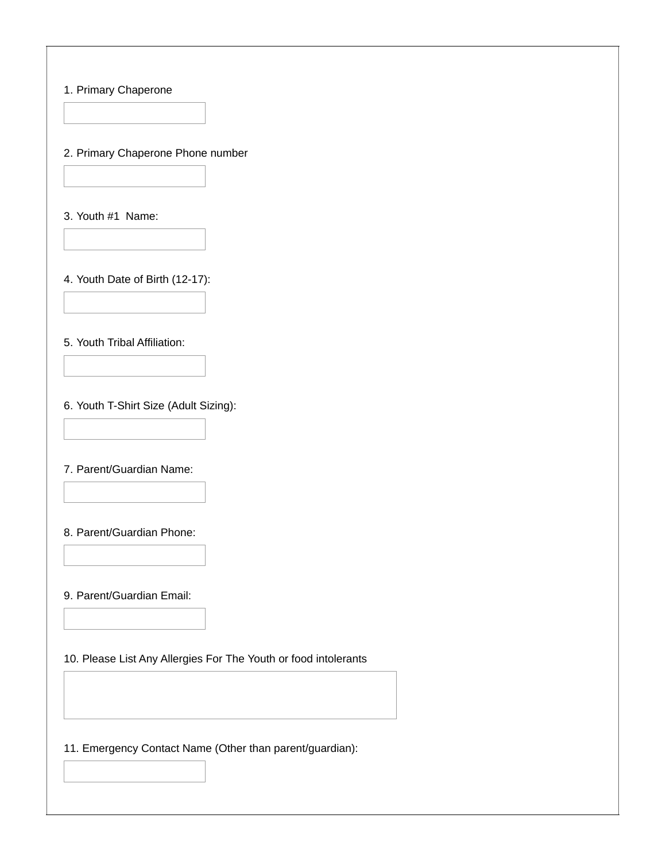## 1. Primary Chaperone

2. Primary Chaperone Phone number

3. Youth #1 Name:

4. Youth Date of Birth (12-17):

5. Youth Tribal Affiliation:

6. Youth T-Shirt Size (Adult Sizing):

7. Parent/Guardian Name:

8. Parent/Guardian Phone:

9. Parent/Guardian Email:

10. Please List Any Allergies For The Youth or food intolerants

11. Emergency Contact Name (Other than parent/guardian):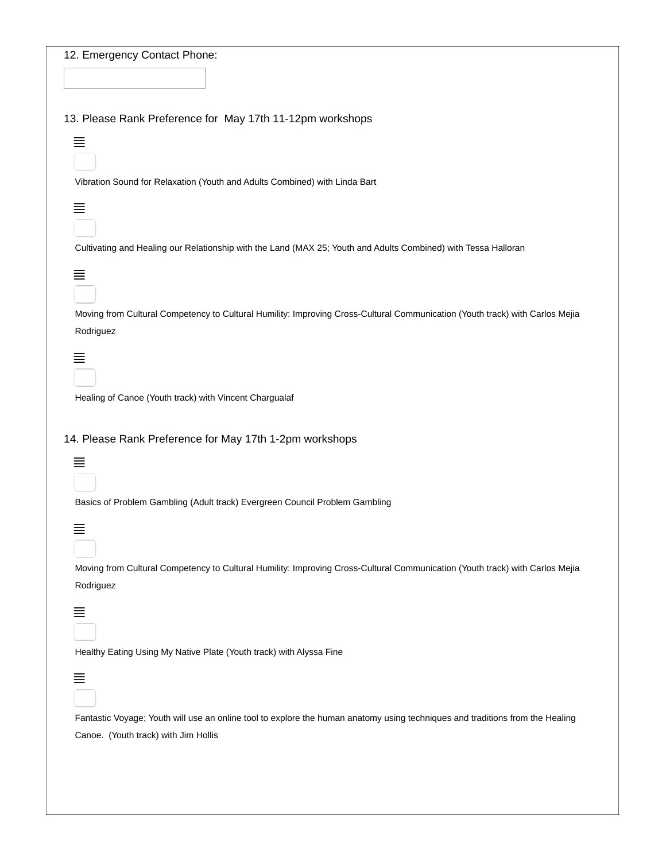| 12. Emergency Contact Phone:                                                                                                  |
|-------------------------------------------------------------------------------------------------------------------------------|
|                                                                                                                               |
|                                                                                                                               |
| 13. Please Rank Preference for May 17th 11-12pm workshops                                                                     |
| 亖                                                                                                                             |
|                                                                                                                               |
| Vibration Sound for Relaxation (Youth and Adults Combined) with Linda Bart                                                    |
| 亖                                                                                                                             |
|                                                                                                                               |
| Cultivating and Healing our Relationship with the Land (MAX 25; Youth and Adults Combined) with Tessa Halloran                |
| 亖                                                                                                                             |
|                                                                                                                               |
| Moving from Cultural Competency to Cultural Humility: Improving Cross-Cultural Communication (Youth track) with Carlos Mejia  |
| Rodriguez                                                                                                                     |
| ≣                                                                                                                             |
|                                                                                                                               |
| Healing of Canoe (Youth track) with Vincent Chargualaf                                                                        |
|                                                                                                                               |
|                                                                                                                               |
|                                                                                                                               |
| 14. Please Rank Preference for May 17th 1-2pm workshops                                                                       |
| 亖                                                                                                                             |
|                                                                                                                               |
| Basics of Problem Gambling (Adult track) Evergreen Council Problem Gambling                                                   |
| ≡                                                                                                                             |
|                                                                                                                               |
| Moving from Cultural Competency to Cultural Humility: Improving Cross-Cultural Communication (Youth track) with Carlos Mejia  |
| Rodriguez                                                                                                                     |
|                                                                                                                               |
| 亖                                                                                                                             |
|                                                                                                                               |
| Healthy Eating Using My Native Plate (Youth track) with Alyssa Fine                                                           |
| 亖                                                                                                                             |
|                                                                                                                               |
| Fantastic Voyage; Youth will use an online tool to explore the human anatomy using techniques and traditions from the Healing |
| Canoe. (Youth track) with Jim Hollis                                                                                          |
|                                                                                                                               |
|                                                                                                                               |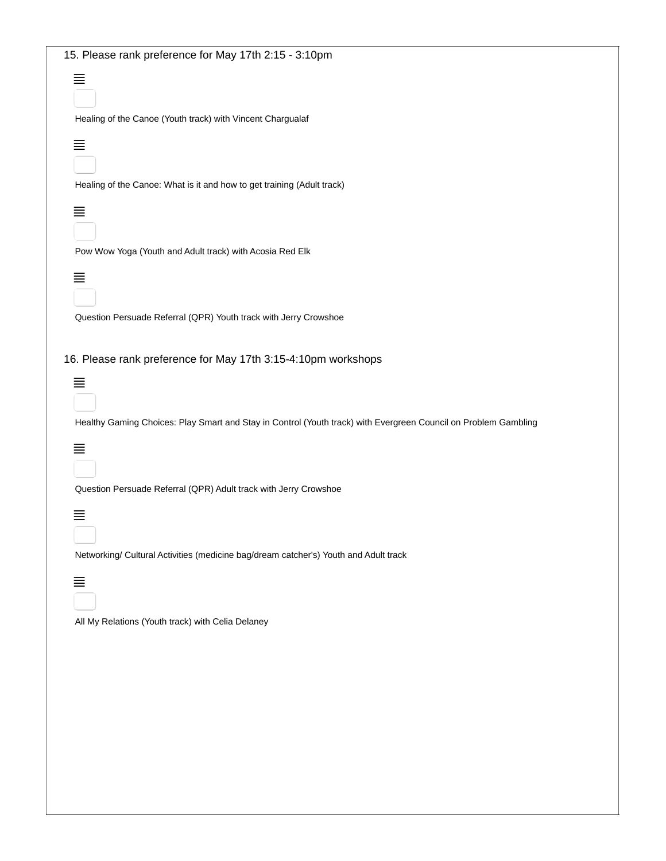| 15. Please rank preference for May 17th 2:15 - 3:10pm                                                           |
|-----------------------------------------------------------------------------------------------------------------|
| 亖<br>Healing of the Canoe (Youth track) with Vincent Chargualaf                                                 |
|                                                                                                                 |
| 亖<br>Healing of the Canoe: What is it and how to get training (Adult track)                                     |
| 亖                                                                                                               |
| Pow Wow Yoga (Youth and Adult track) with Acosia Red Elk                                                        |
| ≣                                                                                                               |
| Question Persuade Referral (QPR) Youth track with Jerry Crowshoe                                                |
| 16. Please rank preference for May 17th 3:15-4:10pm workshops                                                   |
| 亖                                                                                                               |
| Healthy Gaming Choices: Play Smart and Stay in Control (Youth track) with Evergreen Council on Problem Gambling |
| 亖                                                                                                               |
| Question Persuade Referral (QPR) Adult track with Jerry Crowshoe                                                |
| ≣                                                                                                               |
| Networking/ Cultural Activities (medicine bag/dream catcher's) Youth and Adult track                            |
| 亖                                                                                                               |
| All My Relations (Youth track) with Celia Delaney                                                               |
|                                                                                                                 |
|                                                                                                                 |
|                                                                                                                 |
|                                                                                                                 |
|                                                                                                                 |